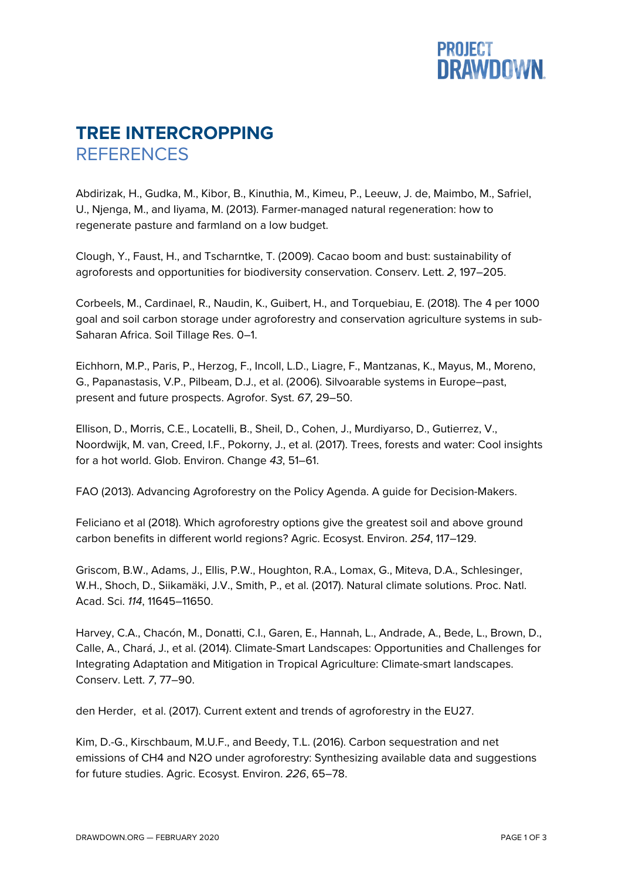

## **TREE INTERCROPPING REFERENCES**

Abdirizak, H., Gudka, M., Kibor, B., Kinuthia, M., Kimeu, P., Leeuw, J. de, Maimbo, M., Safriel, U., Njenga, M., and Iiyama, M. (2013). Farmer-managed natural regeneration: how to regenerate pasture and farmland on a low budget.

Clough, Y., Faust, H., and Tscharntke, T. (2009). Cacao boom and bust: sustainability of agroforests and opportunities for biodiversity conservation. Conserv. Lett. *2*, 197–205.

Corbeels, M., Cardinael, R., Naudin, K., Guibert, H., and Torquebiau, E. (2018). The 4 per 1000 goal and soil carbon storage under agroforestry and conservation agriculture systems in sub-Saharan Africa. Soil Tillage Res. 0–1.

Eichhorn, M.P., Paris, P., Herzog, F., Incoll, L.D., Liagre, F., Mantzanas, K., Mayus, M., Moreno, G., Papanastasis, V.P., Pilbeam, D.J., et al. (2006). Silvoarable systems in Europe–past, present and future prospects. Agrofor. Syst. *67*, 29–50.

Ellison, D., Morris, C.E., Locatelli, B., Sheil, D., Cohen, J., Murdiyarso, D., Gutierrez, V., Noordwijk, M. van, Creed, I.F., Pokorny, J., et al. (2017). Trees, forests and water: Cool insights for a hot world. Glob. Environ. Change *43*, 51–61.

FAO (2013). Advancing Agroforestry on the Policy Agenda. A guide for Decision-Makers.

Feliciano et al (2018). Which agroforestry options give the greatest soil and above ground carbon benefits in different world regions? Agric. Ecosyst. Environ. *254*, 117–129.

Griscom, B.W., Adams, J., Ellis, P.W., Houghton, R.A., Lomax, G., Miteva, D.A., Schlesinger, W.H., Shoch, D., Siikamäki, J.V., Smith, P., et al. (2017). Natural climate solutions. Proc. Natl. Acad. Sci. *114*, 11645–11650.

Harvey, C.A., Chacón, M., Donatti, C.I., Garen, E., Hannah, L., Andrade, A., Bede, L., Brown, D., Calle, A., Chará, J., et al. (2014). Climate-Smart Landscapes: Opportunities and Challenges for Integrating Adaptation and Mitigation in Tropical Agriculture: Climate-smart landscapes. Conserv. Lett. *7*, 77–90.

den Herder, et al. (2017). Current extent and trends of agroforestry in the EU27.

Kim, D.-G., Kirschbaum, M.U.F., and Beedy, T.L. (2016). Carbon sequestration and net emissions of CH4 and N2O under agroforestry: Synthesizing available data and suggestions for future studies. Agric. Ecosyst. Environ. *226*, 65–78.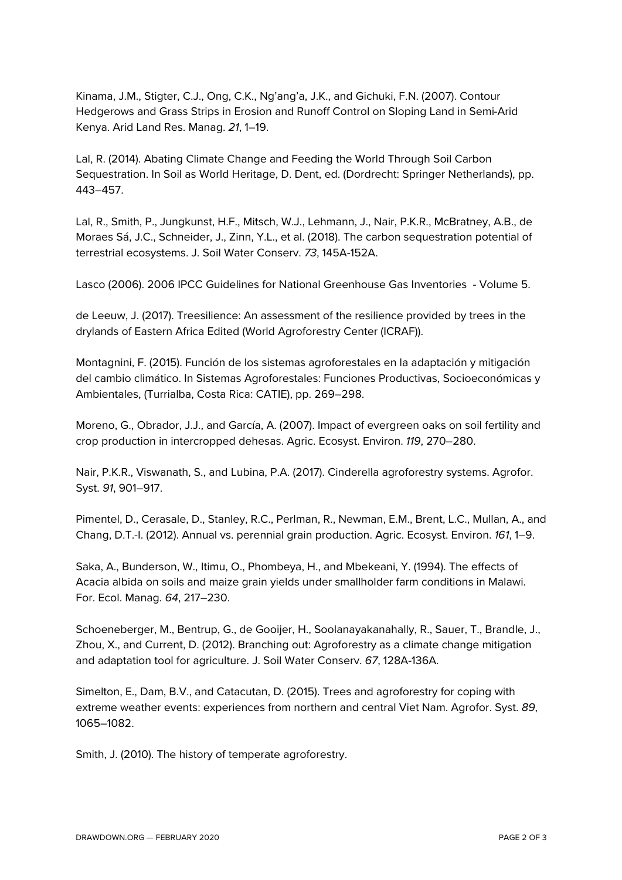Kinama, J.M., Stigter, C.J., Ong, C.K., Ng'ang'a, J.K., and Gichuki, F.N. (2007). Contour Hedgerows and Grass Strips in Erosion and Runoff Control on Sloping Land in Semi-Arid Kenya. Arid Land Res. Manag. *21*, 1–19.

Lal, R. (2014). Abating Climate Change and Feeding the World Through Soil Carbon Sequestration. In Soil as World Heritage, D. Dent, ed. (Dordrecht: Springer Netherlands), pp. 443–457.

Lal, R., Smith, P., Jungkunst, H.F., Mitsch, W.J., Lehmann, J., Nair, P.K.R., McBratney, A.B., de Moraes Sá, J.C., Schneider, J., Zinn, Y.L., et al. (2018). The carbon sequestration potential of terrestrial ecosystems. J. Soil Water Conserv. *73*, 145A-152A.

Lasco (2006). 2006 IPCC Guidelines for National Greenhouse Gas Inventories - Volume 5.

de Leeuw, J. (2017). Treesilience: An assessment of the resilience provided by trees in the drylands of Eastern Africa Edited (World Agroforestry Center (ICRAF)).

Montagnini, F. (2015). Función de los sistemas agroforestales en la adaptación y mitigación del cambio climático. In Sistemas Agroforestales: Funciones Productivas, Socioeconómicas y Ambientales, (Turrialba, Costa Rica: CATIE), pp. 269–298.

Moreno, G., Obrador, J.J., and García, A. (2007). Impact of evergreen oaks on soil fertility and crop production in intercropped dehesas. Agric. Ecosyst. Environ. *119*, 270–280.

Nair, P.K.R., Viswanath, S., and Lubina, P.A. (2017). Cinderella agroforestry systems. Agrofor. Syst. *91*, 901–917.

Pimentel, D., Cerasale, D., Stanley, R.C., Perlman, R., Newman, E.M., Brent, L.C., Mullan, A., and Chang, D.T.-I. (2012). Annual vs. perennial grain production. Agric. Ecosyst. Environ. *161*, 1–9.

Saka, A., Bunderson, W., Itimu, O., Phombeya, H., and Mbekeani, Y. (1994). The effects of Acacia albida on soils and maize grain yields under smallholder farm conditions in Malawi. For. Ecol. Manag. *64*, 217–230.

Schoeneberger, M., Bentrup, G., de Gooijer, H., Soolanayakanahally, R., Sauer, T., Brandle, J., Zhou, X., and Current, D. (2012). Branching out: Agroforestry as a climate change mitigation and adaptation tool for agriculture. J. Soil Water Conserv. *67*, 128A-136A.

Simelton, E., Dam, B.V., and Catacutan, D. (2015). Trees and agroforestry for coping with extreme weather events: experiences from northern and central Viet Nam. Agrofor. Syst. *89*, 1065–1082.

Smith, J. (2010). The history of temperate agroforestry.